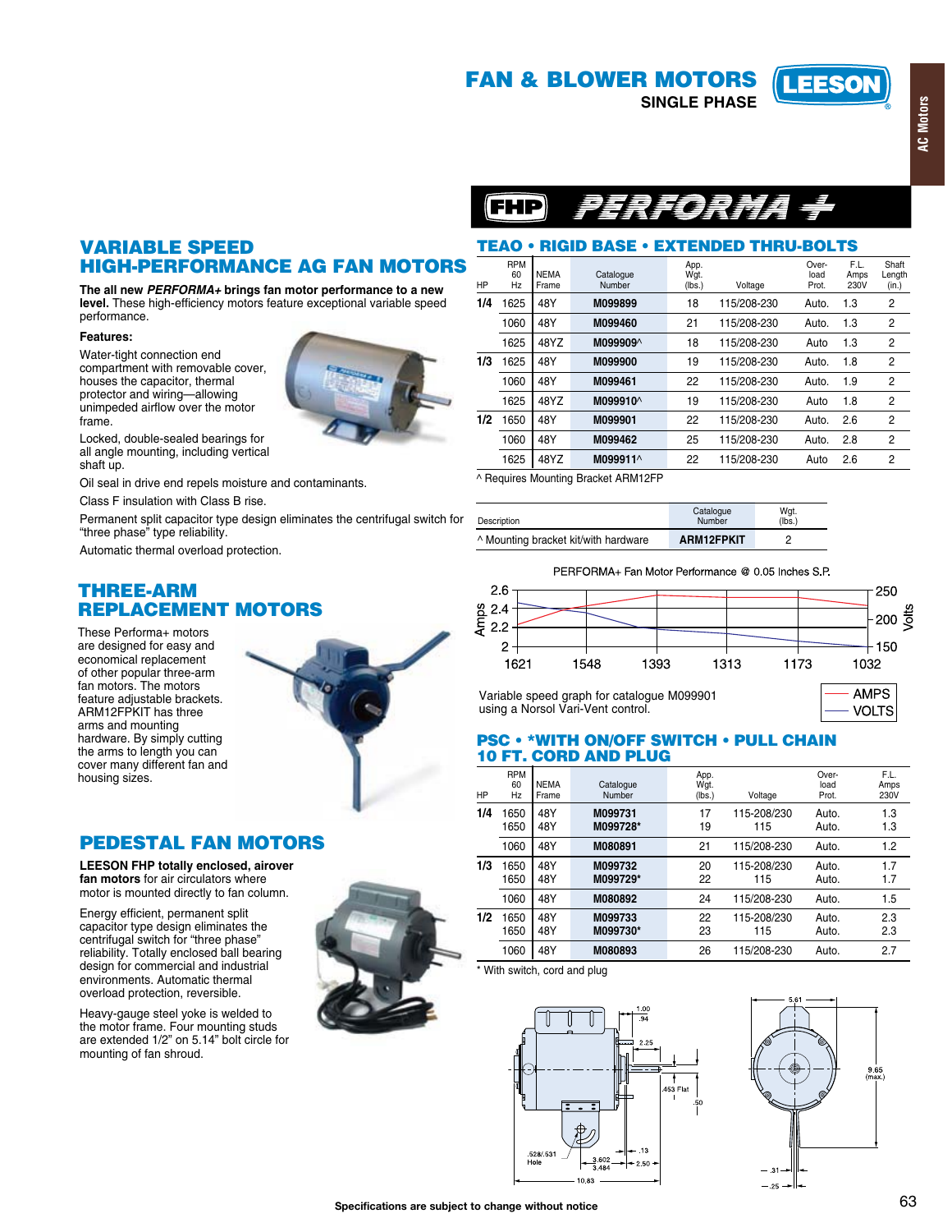# **FAN & BLOWER MOTORS**

**SINGLE PHASE** 





# TEAO • RIGID BASE • EXTENDED THRU-BOLTS

| HP  | <b>RPM</b><br>60<br>Hz | <b>NEMA</b><br>Frame | Catalogue<br>Number  | App.<br>Wgt.<br>(lbs.) | Voltage     | Over-<br>load<br>Prot. | F.L.<br>Amps<br>230V | Shaft<br>Length<br>(in.) |
|-----|------------------------|----------------------|----------------------|------------------------|-------------|------------------------|----------------------|--------------------------|
| 1/4 | 1625                   | 48Y                  | M099899              | 18                     | 115/208-230 | Auto.                  | 1.3                  | 2                        |
|     | 1060                   | 48Y                  | M099460              | 21                     | 115/208-230 | Auto.                  | 1.3                  | 2                        |
|     | 1625                   | 48YZ                 | M099909^             | 18                     | 115/208-230 | Auto                   | 1.3                  | 2                        |
| 1/3 | 1625                   | 48Y                  | M099900              | 19                     | 115/208-230 | Auto.                  | 1.8                  | $\overline{2}$           |
|     | 1060                   | 48Y                  | M099461              | 22                     | 115/208-230 | Auto.                  | 1.9                  | $\overline{2}$           |
|     | 1625                   | 48YZ                 | M099910 <sup>^</sup> | 19                     | 115/208-230 | Auto                   | 1.8                  | 2                        |
| 1/2 | 1650                   | 48Y                  | M099901              | 22                     | 115/208-230 | Auto.                  | 2.6                  | $\overline{2}$           |
|     | 1060                   | 48Y                  | M099462              | 25                     | 115/208-230 | Auto.                  | 2.8                  | $\overline{2}$           |
|     | 1625                   | 48YZ                 | M099911^             | 22                     | 115/208-230 | Auto                   | 2.6                  | $\overline{2}$           |

^ Requires Mounting Bracket ARM12FP

| Description                          | Catalogue<br>Number | Wgt.<br>(Ibs.) |
|--------------------------------------|---------------------|----------------|
| ^ Mounting bracket kit/with hardware | ARM12FPKIT          | റ              |

PERFORMA+ Fan Motor Performance @ 0.05 Inches S.P.



Variable speed graph for catalogue M099901 using a Norsol Vari-Vent control.

**AMPS VOLTS** 

#### **PSC • \*WITH ON/OFF SWITCH • PULL CHAIN 10 FT. CORD AND PLUG**

| HP  | <b>RPM</b><br>60<br>Hz | <b>NEMA</b><br>Frame | Catalogue<br>Number | App.<br>Wgt.<br>(lbs.) | Voltage            | Over-<br>load<br>Prot. | F.L.<br>Amps<br>230V |
|-----|------------------------|----------------------|---------------------|------------------------|--------------------|------------------------|----------------------|
| 1/4 | 1650<br>1650           | 48Y<br>48Y           | M099731<br>M099728* | 17<br>19               | 115-208/230<br>115 | Auto.<br>Auto.         | 1.3<br>1.3           |
|     | 1060                   | 48Y                  | M080891             | 21                     | 115/208-230        | Auto.                  | 1.2                  |
| 1/3 | 1650<br>1650           | 48Y<br>48Y           | M099732<br>M099729* | 20<br>22               | 115-208/230<br>115 | Auto.<br>Auto.         | 1.7<br>1.7           |
|     | 1060                   | 48Y                  | M080892             | 24                     | 115/208-230        | Auto.                  | 1.5                  |
| 1/2 | 1650<br>1650           | 48Y<br>48Y           | M099733<br>M099730* | 22<br>23               | 115-208/230<br>115 | Auto.<br>Auto.         | 2.3<br>2.3           |
|     | 1060                   | 48Y                  | M080893             | 26                     | 115/208-230        | Auto.                  | 2.7                  |

\* With switch, cord and plug





# **VARIABLE SPEED HIGH-PERFORMANCE AG FAN MOTORS**

The all new PERFORMA+ brings fan motor performance to a new level. These high-efficiency motors feature exceptional variable speed performance.

#### Features:

Water-tight connection end compartment with removable cover, houses the capacitor, thermal protector and wiring—allowing<br>unimpeded airflow over the motor frame.

Locked, double-sealed bearings for all angle mounting, including vertical shaft up.

Oil seal in drive end repels moisture and contaminants.

Class F insulation with Class B rise.

Permanent split capacitor type design eliminates the centrifugal switch for "three phase" type reliability.

Automatic thermal overload protection.

# **THREE-ARM REPLACEMENT MOTORS**

These Performa+ motors are designed for easy and economical replacement of other popular three-arm fan motors. The motors feature adjustable brackets. ARM12FPKIT has three arms and mounting hardware. By simply cutting the arms to length you can cover many different fan and housing sizes.



# **PEDESTAL FAN MOTORS**

LEESON FHP totally enclosed, airover fan motors for air circulators where motor is mounted directly to fan column.

Energy efficient, permanent split capacitor type design eliminates the centrifugal switch for "three phase" reliability. Totally enclosed ball bearing design for commercial and industrial environments. Automatic thermal overload protection, reversible.

Heavy-gauge steel yoke is welded to the motor frame. Four mounting studs are extended 1/2" on 5.14" bolt circle for mounting of fan shroud.



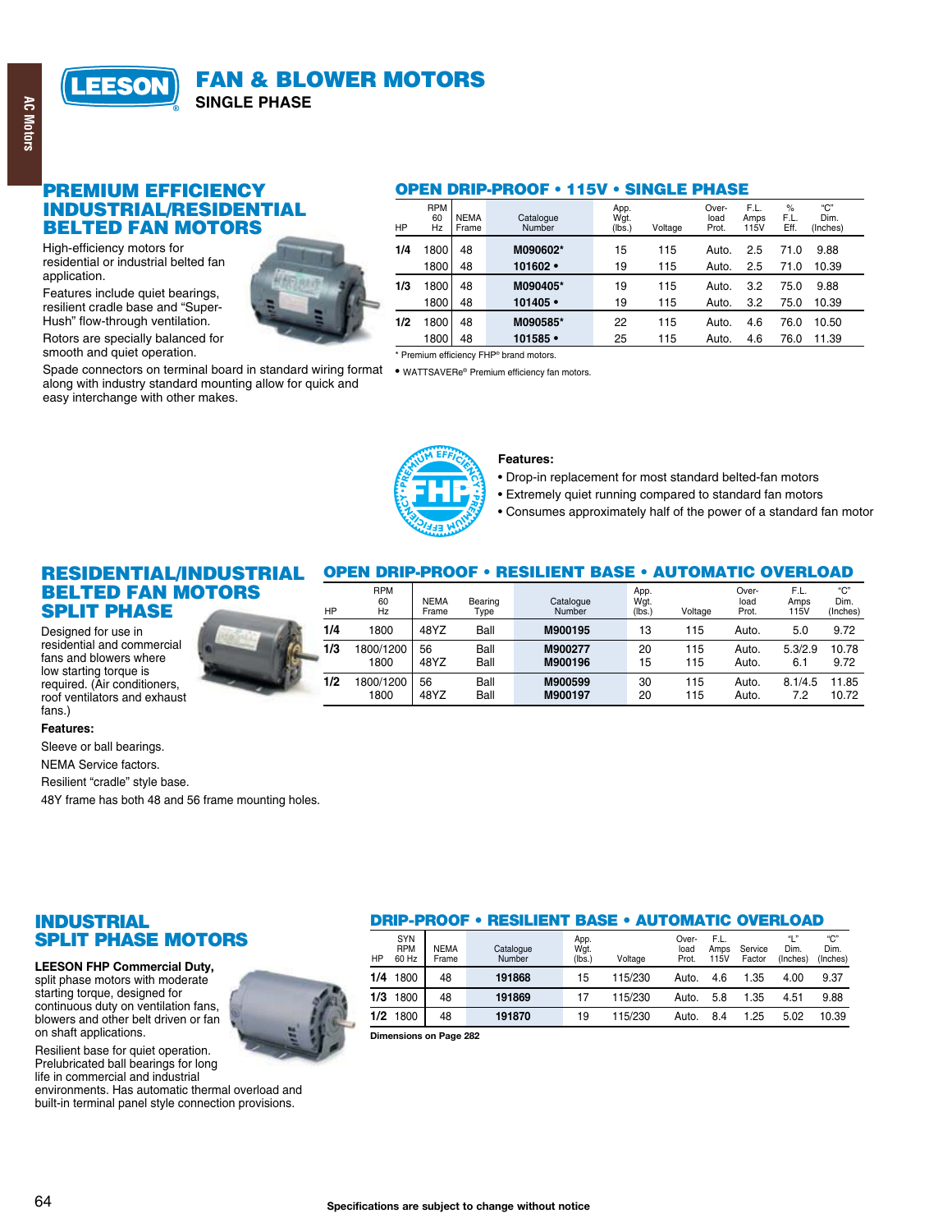

### **PREMIUM EFFICIENCY INDUSTRIAL/RESIDENTIAL BELTED FAN MOTORS**

High-efficiency motors for residential or industrial belted fan application.

Features include quiet bearings, resilient cradle base and "Super-Hush" flow-through ventilation.

Rotors are specially balanced for smooth and quiet operation.

Spade connectors on terminal board in standard wiring format . WATTSAVERe® Premium efficiency fan motors. along with industry standard mounting allow for quick and easy interchange with other makes.

#### **OPEN DRIP-PROOF . 115V · SINGLE PHASE**

| HP |     | <b>RPM</b><br>60<br>Hz | <b>NEMA</b><br>Frame | Catalogue<br>Number | App.<br>Wgt.<br>(lbs.) | Voltage | Over-<br>load<br>Prot. | F.L.<br>Amps<br>115V | $\%$<br>F.L.<br>Eff. | "С"<br>Dim.<br>(Inches) |
|----|-----|------------------------|----------------------|---------------------|------------------------|---------|------------------------|----------------------|----------------------|-------------------------|
|    | 1/4 | 1800                   | 48                   | M090602*            | 15                     | 115     | Auto.                  | 2.5                  | 71.0                 | 9.88                    |
|    |     | 1800                   | 48                   | $101602 -$          | 19                     | 115     | Auto.                  | 2.5                  | 71.0                 | 10.39                   |
|    | 1/3 | 1800                   | 48                   | M090405*            | 19                     | 115     | Auto.                  | 3.2                  | 75.0                 | 9.88                    |
|    |     | 1800                   | 48                   | $101405$ •          | 19                     | 115     | Auto.                  | 3.2                  | 75.0                 | 10.39                   |
|    | 1/2 | 800                    | 48                   | M090585*            | 22                     | 115     | Auto.                  | 4.6                  | 76.0                 | 10.50                   |
|    |     | 1800                   | 48                   | $101585$ •          | 25                     | 115     | Auto.                  | 4.6                  | 76.0                 | 11.39                   |

\* Premium efficiency FHP<sup>®</sup> brand motors



48YZ

Ball

**RPM** 

1800

#### **Features:**

. Drop-in replacement for most standard belted-fan motors

20

- Extremely quiet running compared to standard fan motors
- Consumes approximately half of the power of a standard fan motor

115

Over-

Auto.

F.L.

 $7.2$ 

"C'

10.72

# **RESIDENTIAL/INDUSTRIAL BELTED FAN MOTORS SPLIT PHASE**

Designed for use in residential and commercial fans and blowers where low starting torque is required. (Air conditioners, roof ventilators and exhaust fans.)

#### Features:

Sleeve or ball bearings.

**NEMA Service factors.** 

Resilient "cradle" style base.

48Y frame has both 48 and 56 frame mounting holes.

# **INDUSTRIAL SPLIT PHASE MOTORS**

**LEESON FHP Commercial Duty.** 

split phase motors with moderate starting torque, designed for continuous duty on ventilation fans. blowers and other belt driven or fan on shaft applications.

Resilient base for quiet operation. Prelubricated ball bearings for long life in commercial and industrial environments. Has automatic thermal overload and

64

built-in terminal panel style connection provisions.



M900197

**OPEN DRIP-PROOF • RESILIENT BASE • AUTOMATIC OVERLOAD** 

#### **DRIP-PROOF • RESILIENT BASE • AUTOMATIC OVERLOAD** "C"<br>Dim. SYN<br>RPM Over- $F +$ " App<br>Wgt **NEMA** load  $D<sub>im</sub>$ Catalogue ......<br>Amps Service  $HP$ 60 Hz Frame Number (lbs. Voltage Prot  $115V$ Factor (Inches) (Inches)  $1/4$ 191868 1800 48 15 115/230 Auto. 4.6 1.35 4.00 9.37

115/230

115/230

Auto.

Auto.

5.8

 $\overline{R}$   $\overline{A}$ 

1.35

 $1.25$ 

4.51

 $5.02$ 

9.88

10.39

 $17$ 

 $19$ 

Dimensions on Page 282

48

 $\overline{48}$ 

191869

191870

 $\overline{1/3}$ 1800

 $1/2$ 1800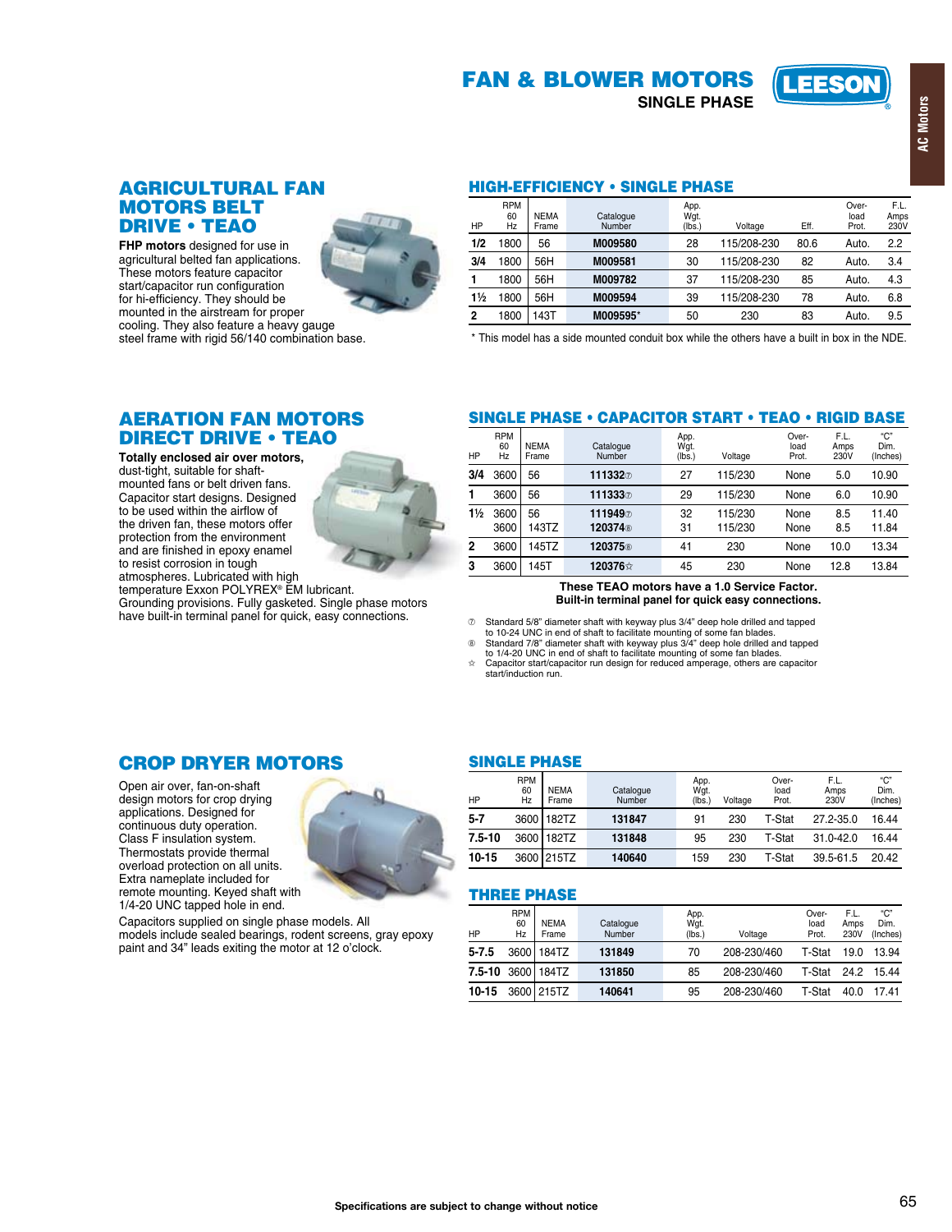# **FAN & BLOWER MOTORS**

**SINGLE PHASE** 



FHP motors designed for use in agricultural belted fan applications. These motors feature capacitor start/capacitor run configuration for hi-efficiency. They should be mounted in the airstream for proper cooling. They also feature a heavy gauge steel frame with rigid 56/140 combination base.



#### **HIGH-EFFICIENCY . SINGLE PHASE**

| HP             | <b>RPM</b><br>60<br>Hz | <b>NEMA</b><br>Frame | Catalogue<br>Number | App.<br>Wgt.<br>(lbs.) | Voltage     | Eff. | Over-<br>load<br>Prot. | F.L.<br>Amps<br>230V |
|----------------|------------------------|----------------------|---------------------|------------------------|-------------|------|------------------------|----------------------|
| 1/2            | 800                    | 56                   | M009580             | 28                     | 115/208-230 | 80.6 | Auto.                  | 2.2                  |
| 3/4            | 1800                   | 56H                  | M009581             | 30                     | 115/208-230 | 82   | Auto.                  | 3.4                  |
|                | 1800                   | 56H                  | M009782             | 37                     | 115/208-230 | 85   | Auto.                  | 4.3                  |
| $1\frac{1}{2}$ | 800                    | 56H                  | M009594             | 39                     | 115/208-230 | 78   | Auto.                  | 6.8                  |
| $\overline{2}$ | 1800                   | 43T                  | M009595*            | 50                     | 230         | 83   | Auto.                  | 9.5                  |

\* This model has a side mounted conduit box while the others have a built in box in the NDE.

# **AERATION FAN MOTORS DIRECT DRIVE . TEAO**

Totally enclosed air over motors. dust-tight, suitable for shaftmounted fans or belt driven fans. Capacitor start designs. Designed to be used within the airflow of the driven fan, these motors offer protection from the environment and are finished in epoxy enamel to resist corrosion in tough

atmospheres. Lubricated with high<br>temperature Exxon POLYREX® EM lubricant. Grounding provisions. Fully gasketed. Single phase motors<br>have built-in terminal panel for quick, easy connections.

# **SINGLE PHASE • CAPACITOR START • TEAO • RIGID BASE**

| ΗP             | <b>RPM</b><br>60<br>Hz | <b>NEMA</b><br>Frame | Catalogue<br>Number           | App.<br>Wgt.<br>(lbs.) | Voltage            | Over-<br>load<br>Prot. | F.L.<br>Amps<br>230V | "C"<br>Dim.<br>(Inches) |
|----------------|------------------------|----------------------|-------------------------------|------------------------|--------------------|------------------------|----------------------|-------------------------|
| 3/4            | 3600                   | 56                   | 111332                        | 27                     | 115/230            | None                   | 5.0                  | 10.90                   |
|                | 3600                   | 56                   | 111333⑦                       | 29                     | 115/230            | None                   | 6.0                  | 10.90                   |
| $1\frac{1}{2}$ | 3600<br>3600           | 56<br>143TZ          | 111949<br>120374 <sup>®</sup> | 32<br>31               | 115/230<br>115/230 | None<br>None           | 8.5<br>8.5           | 11.40<br>11.84          |
|                |                        |                      |                               |                        |                    |                        |                      |                         |
| 2              | 3600                   | 145TZ                | 120375 <sup>®</sup>           | 41                     | 230                | None                   | 10.0                 | 13.34                   |
| 3              | 3600                   | 145T                 | 120376☆                       | 45                     | 230                | None                   | 12.8                 | 13.84                   |
|                |                        |                      |                               |                        |                    |                        |                      |                         |

These TEAO motors have a 1.0 Service Factor. Built-in terminal panel for quick easy connections.

 $\heartsuit$  Standard 5/8" diameter shaft with keyway plus 3/4" deep hole drilled and tapped<br>to 10-24 UNC in end of shaft to facilitate mounting of some fan blades.<br>  $\heartsuit$  Standard 7/8" diameter shaft with keyway plus 3/4" dee

Capacitor start/capacitor run design for reduced amperage, others are capacitor start/induction run. ☆

# **CROP DRYER MOTORS**

Capacitors supplied on single phase models. All

models include sealed bearings, rodent screens, gray epoxy paint and 34" leads exiting the motor at 12 o'clock.

Open air over, fan-on-shaft design motors for crop drying applications. Designed for continuous duty operation. Class F insulation system. Thermostats provide thermal overload protection on all units. Extra nameplate included for remote mounting. Keyed shaft with 1/4-20 UNC tapped hole in end.

# **SINGLE PHASE**

| ΗP         | <b>RPM</b><br>60<br>Hz | <b>NEMA</b><br>Frame | Catalogue<br>Number | App.<br>Wqt.<br>(lbs. | Voltage | Over-<br>load<br>Prot. | F.L.<br>Amps<br>230V | "C"<br>Dim.<br>(Inches) |
|------------|------------------------|----------------------|---------------------|-----------------------|---------|------------------------|----------------------|-------------------------|
| $5 - 7$    | 3600                   | 182TZ                | 131847              | 91                    | 230     | T-Stat                 | 27.2-35.0            | 16.44                   |
| $7.5 - 10$ | 3600                   | 182TZ                | 131848              | 95                    | 230     | T-Stat                 | $31.0 - 42.0$        | 16.44                   |
| 10-15      |                        | 3600 215TZ           | 140640              | 159                   | 230     | T-Stat                 | 39.5-61.5            | 20.42                   |

#### **THREE PHASE**

| HP    | <b>RPM</b><br>60<br>Hz | <b>NEMA</b><br>Frame     | Catalogue<br>Number | App.<br>Wgt.<br>(lbs. | Voltage     | Over-<br>load<br>Prot. | F.L.<br>Amps<br>230V | "C"<br>Dim.<br>(Inches) |
|-------|------------------------|--------------------------|---------------------|-----------------------|-------------|------------------------|----------------------|-------------------------|
| 5-7.5 |                        | 3600 184TZ               | 131849              | 70                    | 208-230/460 | T-Stat                 | 19.0                 | 13.94                   |
|       |                        | <b>7.5-10 3600 184TZ</b> | 131850              | 85                    | 208-230/460 | T-Stat                 | 24.2                 | 15.44                   |
| 10-15 |                        | 3600 215TZ               | 140641              | 95                    | 208-230/460 | T-Stat                 | 40.0                 | 17.41                   |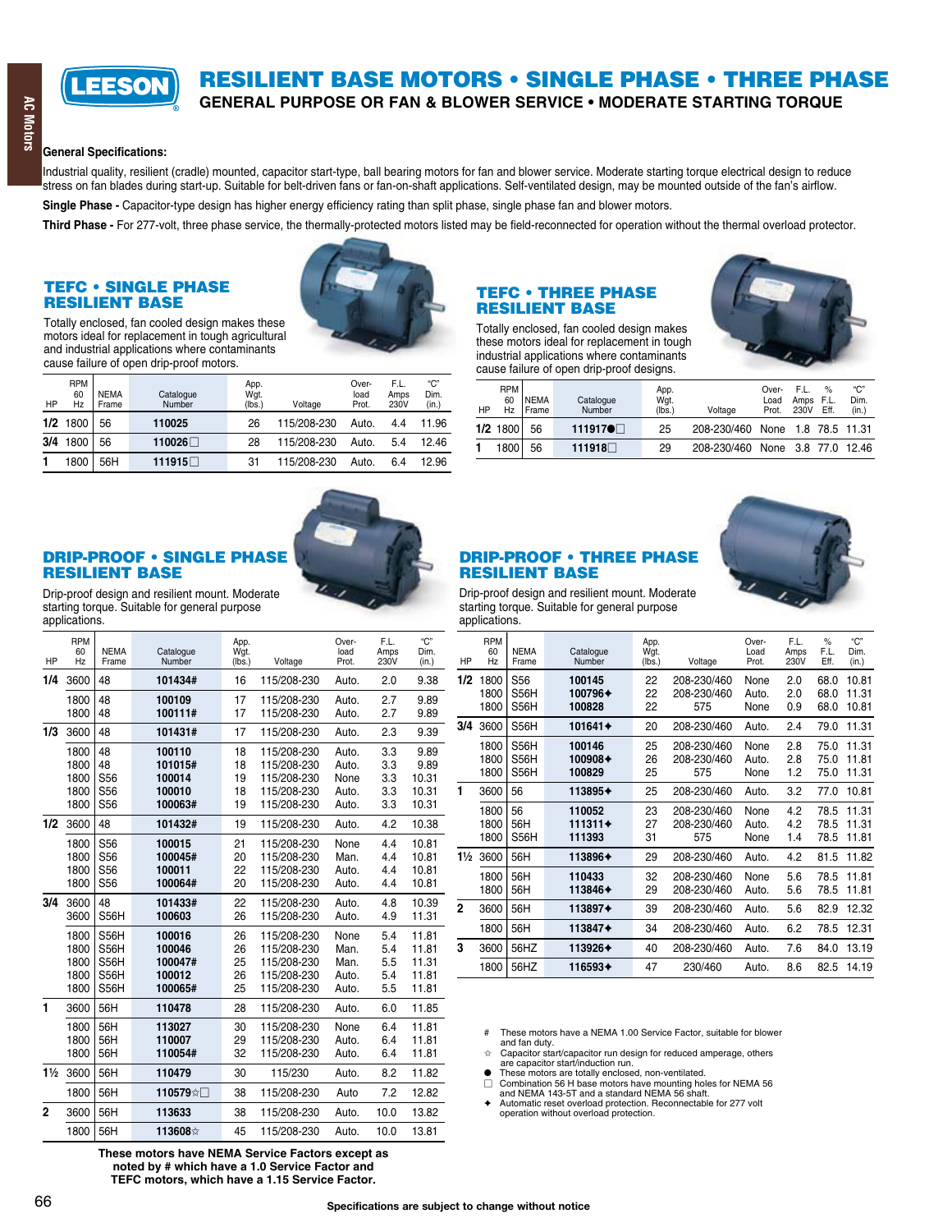

# RESILIENT BASE MOTORS • SINGLE PHASE • THREE PHASE

GENERAL PURPOSE OR FAN & BLOWER SERVICE . MODERATE STARTING TORQUE

#### General Specifications:

Industrial quality, resilient (cradle) mounted, capacitor start-type, ball bearing motors for fan and blower service. Moderate starting torque electrical design to reduce stress on fan blades during start-up. Suitable for belt-driven fans or fan-on-shaft applications. Self-ventilated design, may be mounted outside of the fan<sup>t</sup>s airflow.

Single Phase - Capacitor-type design has higher energy efficiency rating than split phase, single phase fan and blower motors.

Third Phase - For 277-volt, three phase service, the thermally-protected motors listed may be field-reconnected for operation without the thermal overload protector.

#### TEFC • SINGLE PHASE **RESILIENT BASE**

Totally enclosed, fan cooled design makes these motors ideal for replacement in tough agricultural and industrial applications where contaminants cause failure of open drip-proof motors.



| HP  | <b>RPM</b><br>60<br>Hz | <b>NEMA</b><br>Frame | Catalogue<br><b>Number</b> | App.<br>Wgt.<br>(lbs.) | Voltage     | Over-<br>load<br>Prot. | F.L.<br>Amps<br>230V | "С"<br>Dim.<br>(in.) |
|-----|------------------------|----------------------|----------------------------|------------------------|-------------|------------------------|----------------------|----------------------|
|     | $1/2$ 1800             | 56                   | 110025                     | 26                     | 115/208-230 | Auto.                  | 4.4                  | 11.96                |
| 3/4 | 1800                   | 56                   | 110026□                    | 28                     | 115/208-230 | Auto.                  | 5.4                  | 12.46                |
|     | 1800                   | 56H                  | 111915 □                   | 31                     | 115/208-230 | Auto.                  | 6.4                  | 12.96                |

#### TEFC • THREE PHASE **RESILIENT BASE**

Totally enclosed, fan cooled design makes these motors ideal for replacement in tough industrial applications where contaminants cause failure of open drip-proof designs.



| HP | <b>RPM</b><br>60<br>Hz | <b>INEMA</b><br><b>I</b> Frame | Catalogue<br>Number | App.<br>Wgt.<br>(lbs.) | Voltage                         | Over-<br>Load<br>Prot. | E L.<br>Amps F.L.<br>230V | $\%$<br>Eff. | "C"<br>Dim.<br>(in.) |
|----|------------------------|--------------------------------|---------------------|------------------------|---------------------------------|------------------------|---------------------------|--------------|----------------------|
|    | $1/2$ 1800             | 56                             | 111917●□            | 25                     | 208-230/460 None 1.8 78.5 11.31 |                        |                           |              |                      |
|    | 18001                  | 56                             | 111918□             | 29                     | 208-230/460 None 3.8 77.0 12.46 |                        |                           |              |                      |

#### DRIP-PROOF . SINGLE PHASE **RESILIENT BASE**



Drip-proof design and resilient mount. Moderate starting torque. Suitable for general purpose applications.

| HP             | <b>RPM</b><br>60<br>Hz | <b>NEMA</b><br>Frame   | Catalogue<br>Number | App.<br>Wqt.<br>(lbs.) | Voltage                    | Over-<br>load<br>Prot. | F.L.<br>Amps<br>230V | "C"<br>Dim.<br>(in.) |
|----------------|------------------------|------------------------|---------------------|------------------------|----------------------------|------------------------|----------------------|----------------------|
| 1/4            | 3600                   | 48                     | 101434#             | 16                     | 115/208-230                | Auto.                  | 2.0                  | 9.38                 |
|                | 1800<br>1800           | 48<br>48               | 100109<br>100111#   | 17<br>17               | 115/208-230<br>115/208-230 | Auto.<br>Auto.         | 2.7<br>2.7           | 9.89<br>9.89         |
| 1/3            | 3600                   | 48                     | 101431#             | 17                     | 115/208-230                | Auto.                  | 2.3                  | 9.39                 |
|                | 1800                   | 48                     | 100110              | 18                     | 115/208-230                | Auto.                  | 3.3                  | 9.89                 |
|                | 1800                   | 48                     | 101015#             | 18                     | 115/208-230                | Auto.                  | 3.3                  | 9.89                 |
|                | 1800<br>1800           | S <sub>56</sub><br>S56 | 100014<br>100010    | 19<br>18               | 115/208-230<br>115/208-230 | None<br>Auto.          | 3.3<br>3.3           | 10.31<br>10.31       |
|                | 1800                   | S <sub>56</sub>        | 100063#             | 19                     | 115/208-230                | Auto.                  | 3.3                  | 10.31                |
| 1/2            | 3600                   | 48                     | 101432#             | 19                     | 115/208-230                | Auto.                  | 4.2                  | 10.38                |
|                |                        |                        |                     |                        |                            |                        |                      |                      |
|                | 1800<br>1800           | S <sub>56</sub><br>S56 | 100015<br>100045#   | 21<br>20               | 115/208-230<br>115/208-230 | None<br>Man.           | 4.4<br>4.4           | 10.81<br>10.81       |
|                | 1800                   | S <sub>56</sub>        | 100011              | 22                     | 115/208-230                | Auto.                  | 4.4                  | 10.81                |
|                | 1800                   | S <sub>56</sub>        | 100064#             | 20                     | 115/208-230                | Auto.                  | 4.4                  | 10.81                |
| 3/4            | 3600                   | 48                     | 101433#             | 22                     | 115/208-230                | Auto.                  | 4.8                  | 10.39                |
|                | 3600                   | S56H                   | 100603              | 26                     | 115/208-230                | Auto.                  | 4.9                  | 11.31                |
|                | 1800                   | S56H                   | 100016              | 26                     | 115/208-230                | None                   | 5.4                  | 11.81                |
|                | 1800                   | S56H                   | 100046              | 26                     | 115/208-230                | Man.                   | 5.4                  | 11.81                |
|                | 1800                   | <b>S56H</b>            | 100047#             | 25                     | 115/208-230                | Man.                   | 5.5                  | 11.31                |
|                | 1800<br>1800           | <b>S56H</b><br>S56H    | 100012<br>100065#   | 26<br>25               | 115/208-230<br>115/208-230 | Auto.<br>Auto.         | 5.4<br>5.5           | 11.81<br>11.81       |
|                |                        |                        |                     |                        |                            |                        |                      |                      |
| 1              | 3600                   | 56H                    | 110478              | 28                     | 115/208-230                | Auto.                  | 6.0                  | 11.85                |
|                | 1800                   | 56H                    | 113027              | 30                     | 115/208-230                | None                   | 6.4                  | 11.81                |
|                | 1800                   | 56H                    | 110007              | 29                     | 115/208-230                | Auto.                  | 6.4                  | 11.81                |
|                | 1800                   | 56H                    | 110054#             | 32                     | 115/208-230                | Auto.                  | 6.4                  | 11.81                |
| $1\frac{1}{2}$ | 3600                   | 56H                    | 110479              | 30                     | 115/230                    | Auto.                  | 8.2                  | 11.82                |
|                | 1800                   | 56H                    | 110579☆□            | 38                     | 115/208-230                | Auto                   | 7.2                  | 12.82                |
| $\mathbf{2}$   | 3600                   | 56H                    | 113633              | 38                     | 115/208-230                | Auto.                  | 10.0                 | 13.82                |
|                | 1800                   | 56H                    | 113608☆             | 45                     | 115/208-230                | Auto.                  | 10.0                 | 13.81                |

**These motors have NEMA Service Factors except as** noted by # which have a 1.0 Service Factor and **15 Service Factor.** TEFC motors, which have a 1.15 Service Factor.

# DRIP-PROOF • THREE PHASE **RESILIENT BASE**



Drip-proof design and resilient mount. Moderate starting torque. Suitable for general purpose applications.

| HP             | <b>RPM</b><br>60<br>Hz | <b>NEMA</b><br>Frame            | Catalogue<br>Number           | App.<br>Wgt.<br>(lbs.) | Voltage                           | Over-<br>Load<br>Prot. | F.L.<br>Amps<br>230V | $\frac{9}{6}$<br>F.L.<br>Eff. | "ር"<br>Dim.<br>(in.)    |
|----------------|------------------------|---------------------------------|-------------------------------|------------------------|-----------------------------------|------------------------|----------------------|-------------------------------|-------------------------|
| 1/2            | 1800<br>1800<br>1800   | S <sub>56</sub><br>S56H<br>S56H | 100145<br>100796+<br>100828   | 22<br>22<br>22         | 208-230/460<br>208-230/460<br>575 | None<br>Auto.<br>None  | 2.0<br>2.0<br>0.9    | 68.0<br>68.0<br>68.0          | 10.81<br>11.31<br>10.81 |
| 3/4            | 3600                   | S56H                            | 101641+                       | 20                     | 208-230/460                       | Auto.                  | 2.4                  | 79.0                          | 11.31                   |
|                | 1800<br>1800<br>1800   | S56H<br>S56H<br>S56H            | 100146<br>100908+<br>100829   | 25<br>26<br>25         | 208-230/460<br>208-230/460<br>575 | None<br>Auto.<br>None  | 2.8<br>2.8<br>1.2    | 75.0<br>75.0<br>75.0          | 11.31<br>11.81<br>11.31 |
| 1              | 3600                   | 56                              | 113895+                       | 25                     | 208-230/460                       | Auto.                  | 3.2                  | 77.0                          | 10.81                   |
|                | 1800<br>1800<br>1800   | 56<br>56H<br>S56H               | 110052<br>$111311+$<br>111393 | 23<br>27<br>31         | 208-230/460<br>208-230/460<br>575 | None<br>Auto.<br>None  | 4.2<br>4.2<br>1.4    | 78.5<br>78.5<br>78.5          | 11.31<br>11.31<br>11.81 |
| $1\frac{1}{2}$ | 3600                   | 56H                             | 113896+                       | 29                     | 208-230/460                       | Auto.                  | 4.2                  | 81.5                          | 11.82                   |
|                | 1800<br>1800           | 56H<br>56H                      | 110433<br>113846+             | 32<br>29               | 208-230/460<br>208-230/460        | None<br>Auto.          | 5.6<br>5.6           | 78.5<br>78.5                  | 11.81<br>11.81          |
| $\overline{2}$ | 3600                   | 56H                             | 113897+                       | 39                     | 208-230/460                       | Auto.                  | 5.6                  | 82.9                          | 12.32                   |
|                | 1800                   | 56H                             | 113847+                       | 34                     | 208-230/460                       | Auto.                  | 6.2                  | 78.5                          | 12.31                   |
| 3              | 3600                   | 56HZ                            | 113926+                       | 40                     | 208-230/460                       | Auto.                  | 7.6                  | 84.0                          | 13.19                   |
|                | 1800                   | 56HZ                            | 116593+                       | 47                     | 230/460                           | Auto.                  | 8.6                  | 82.5                          | 14.19                   |
|                |                        |                                 |                               |                        |                                   |                        |                      |                               |                         |

# These motors have a NEMA 1.00 Service Factor, suitable for blower

and fan duty. ) Capacitor start/capacitor run design for reduced amperage, others are capacitor start/induction run.

These motors are totally enclosed, non-ventilated.

: Combination 56 H base motors have mounting holes for NEMA 56 and NEMA 143-5T and a standard NEMA 56 shaft.

& Automatic reset overload protection. Reconnectable for 277 volt operation without overload protection.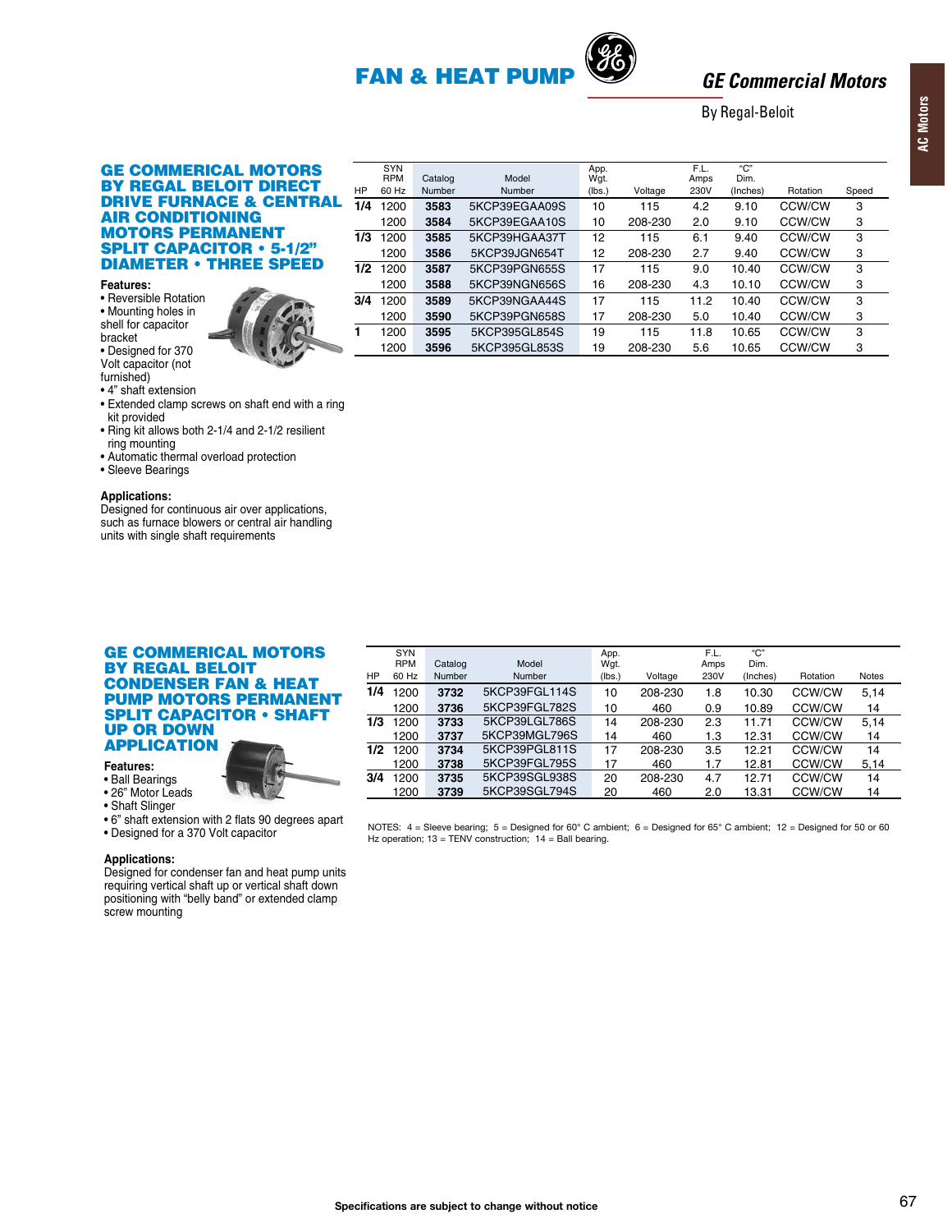# **FAN & HEAT PUM**

Model

Number

5KCP39EGAA09S

5KCP39EGAA10S

5KCP39HGAA37T

5KCP39JGN654T

5KCP39PGN655S

5KCP39NGN656S

5KCP39NGAA44S

5KCP39PGN658S

5KCP395GL854S

5KCP395GL853S

**SYN** 

**RPM** 

60 Hz

1200

1200

1200

1200

1200

1200

1200

 $1/3$  1200

 $1/2$  1200

HP

 $\overline{1/4}$ 

 $\overline{3/4}$ 1200

ī

Catalog

Number

3583

3584

3585

3586

3587

3588

3589

3590

3595

3596



App.<br>Wgt.

 $(lbs.)$ 

 $10$ 

 $10$ 

 $\overline{12}$ 

 $12$ 

 $17$ 

16

 $17$ 

 $17$ 

19

19

Voltage

115

208-230

 $115$ 

208-230

115

208-230

 $115$ 

208-230

115

208-230

# **GE Commercial Motors**

Rotation

CCW/CW

CCW/CW

**CCW/CW** 

CCW/CW

CCW/CW

CCW/CW

**CCW/CW** 

CCW/CW

**CCW/CW** 

CCW/CW

Speed

3

3

 $\overline{3}$ 

3

 $\mathbf{B}$ 

3

 $\overline{3}$ 

3

3

3

**By Regal-Beloit** 

"ה"

Dim

(Inches)

9.10

 $9.10$ 

 $9.40$ 

9.40

10.40

10.10

10.40

10.40

10.65

10.65

F.L.

Amps

230V

 $4.2$ 

 $2.0$ 

 $6.1$ 

 $2.7$ 

9.0

4.3

 $11.2$ 

5.0

 $11.8$ 

5.6

#### **GE COMMERICAL MOTORS** BY REGAL BELOIT DIRECT **DRIVE FURNACE & CENTRAL AIR CONDITIONING MOTORS PERMANENT SPLIT CAPACITOR · 5-1/2" DIAMETER • THREE SPEED**

#### Features:

· Reversible Rotation • Mounting holes in shell for capacitor

bracket • Designed for 370

Volt capacitor (not furnished)

• 4" shaft extension

- Extended clamp screws on shaft end with a ring kit provided
- . Ring kit allows both 2-1/4 and 2-1/2 resilient ring mounting
- Automatic thermal overload protection
- · Sleeve Bearings

#### **Applications:**

Designed for continuous air over applications, such as furnace blowers or central air handling units with single shaft requirements

#### **GE COMMERICAL MOTORS BY REGAL BELOIT CONDENSER FAN & HEAT PUMP MOTORS PERMANENT SPLIT CAPACITOR • SHAFT UP OR DOWN APPLICATION**

#### Features:

- Ball Bearings
- 26" Motor Leads
- Shaft Slinger
- 
- . 6" shaft extension with 2 flats 90 degrees apart • Designed for a 370 Volt capacitor

#### **Applications:**

Designed for condenser fan and heat pump units requiring vertical shaft up or vertical shaft down positioning with "belly band" or extended clamp screw mounting

| HP  | <b>SYN</b><br><b>RPM</b><br>60 Hz | Catalog<br>Number | Model<br>Number | App.<br>Wgt.<br>(lbs.) | Voltage | F.L.<br>Amps<br>230V | "С"<br>Dim.<br>(Inches) | Rotation | <b>Notes</b> |
|-----|-----------------------------------|-------------------|-----------------|------------------------|---------|----------------------|-------------------------|----------|--------------|
| 1/4 | 1200                              | 3732              | 5KCP39FGL114S   | 10                     | 208-230 | 1.8                  | 10.30                   | CCW/CW   | 5,14         |
|     | 1200                              | 3736              | 5KCP39FGL782S   | 10                     | 460     | 0.9                  | 10.89                   | CCW/CW   | 14           |
| 1/3 | 1200                              | 3733              | 5KCP39LGL786S   | 14                     | 208-230 | 2.3                  | 11.71                   | CCW/CW   | 5.14         |
|     | 1200                              | 3737              | 5KCP39MGL796S   | 14                     | 460     | 1.3                  | 12.31                   | CCW/CW   | 14           |
| 1/2 | 1200                              | 3734              | 5KCP39PGL811S   | 17                     | 208-230 | 3.5                  | 12.21                   | CCW/CW   | 14           |
|     | 1200                              | 3738              | 5KCP39FGL795S   | 17                     | 460     | 1.7                  | 12.81                   | CCW/CW   | 5.14         |
| 3/4 | 1200                              | 3735              | 5KCP39SGL938S   | 20                     | 208-230 | 4.7                  | 12.71                   | CCW/CW   | 14           |
|     | 1200                              | 3739              | 5KCP39SGL794S   | 20                     | 460     | 2.0                  | 13.31                   | CCW/CW   | 14           |

NOTES: 4 = Sleeve bearing; 5 = Designed for 60° C ambient; 6 = Designed for 65° C ambient; 12 = Designed for 50 or 60 Hz operation:  $13 = TENV$  construction:  $14 = Ball$  bearing.